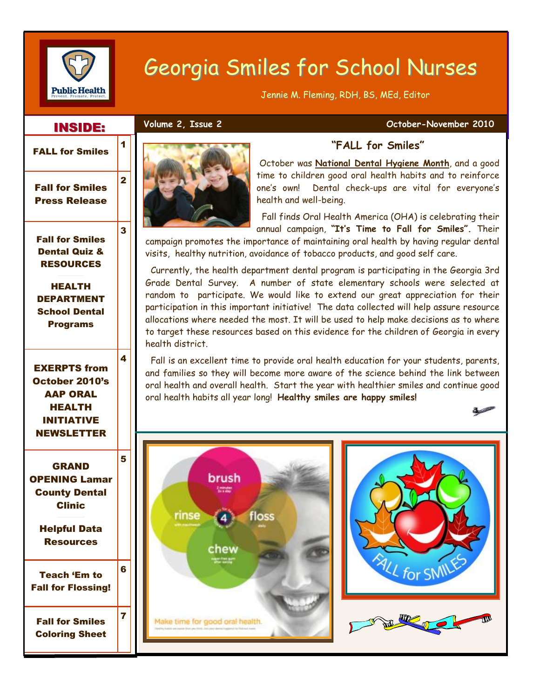

# Georgia Smiles for School Nurses

Jennie M. Fleming, RDH, BS, MEd, Editor

#### INSIDE: INSIDE:

1

2

3

4

5

#### **Volume 2, Issue 2 Contract 2010** October-November 2010



# Fall for Smiles Press Release

Fall for Smiles Dental Quiz & RESOURCES

HEALTH DEPARTMENT School Dental **Programs** 

EXERPTS from October 2010's AAP ORAL HEALTH INITIATIVE NEWSLETTER

GRAND OPENING Lamar County Dental Clinic

Helpful Data **Resources** 

Teach 'Em to Fall for Flossing! 6 Fall for Smiles Coloring Sheet 7



## **"FALL for Smiles"**

October was **National Dental Hygiene Month**, and a good time to children good oral health habits and to reinforce one's own! Dental check-ups are vital for everyone's health and well-being.

 Fall finds Oral Health America (OHA) is celebrating their annual campaign, **"It's Time to Fall for Smiles".** Their

campaign promotes the importance of maintaining oral health by having regular dental visits, healthy nutrition, avoidance of tobacco products, and good self care.

 Currently, the health department dental program is participating in the Georgia 3rd Grade Dental Survey. A number of state elementary schools were selected at random to participate. We would like to extend our great appreciation for their participation in this important initiative! The data collected will help assure resource allocations where needed the most. It will be used to help make decisions as to where to target these resources based on this evidence for the children of Georgia in every health district.

 Fall is an excellent time to provide oral health education for your students, parents, and families so they will become more aware of the science behind the link between oral health and overall health. Start the year with healthier smiles and continue good oral health habits all year long! **Healthy smiles are happy smiles!**





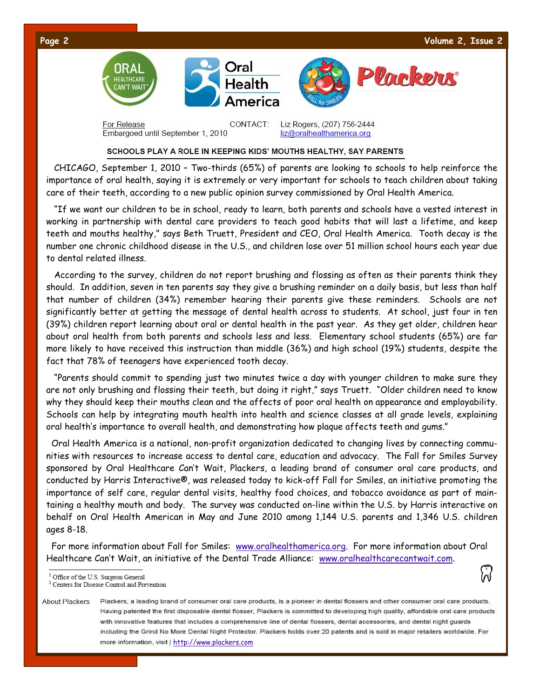



CONTACT<sup>.</sup> For Release Embargoed until September 1, 2010

Liz Rogers, (207) 756-2444 liz@oralhealthamerica.org

#### SCHOOLS PLAY A ROLE IN KEEPING KIDS' MOUTHS HEALTHY, SAY PARENTS

 CHICAGO, September 1, 2010 – Two-thirds (65%) of parents are looking to schools to help reinforce the importance of oral health, saying it is extremely or very important for schools to teach children about taking care of their teeth, according to a new public opinion survey commissioned by Oral Health America.

 "If we want our children to be in school, ready to learn, both parents and schools have a vested interest in working in partnership with dental care providers to teach good habits that will last a lifetime, and keep teeth and mouths healthy," says Beth Truett, President and CEO, Oral Health America. Tooth decay is the number one chronic childhood disease in the U.S., and children lose over 51 million school hours each year due to dental related illness.

 According to the survey, children do not report brushing and flossing as often as their parents think they should. In addition, seven in ten parents say they give a brushing reminder on a daily basis, but less than half that number of children (34%) remember hearing their parents give these reminders. Schools are not significantly better at getting the message of dental health across to students. At school, just four in ten (39%) children report learning about oral or dental health in the past year. As they get older, children hear about oral health from both parents and schools less and less. Elementary school students (65%) are far more likely to have received this instruction than middle (36%) and high school (19%) students, despite the fact that 78% of teenagers have experienced tooth decay.

 "Parents should commit to spending just two minutes twice a day with younger children to make sure they are not only brushing and flossing their teeth, but doing it right," says Truett. "Older children need to know why they should keep their mouths clean and the affects of poor oral health on appearance and employability. Schools can help by integrating mouth health into health and science classes at all grade levels, explaining oral health's importance to overall health, and demonstrating how plaque affects teeth and gums."

 Oral Health America is a national, non-profit organization dedicated to changing lives by connecting communities with resources to increase access to dental care, education and advocacy. The Fall for Smiles Survey sponsored by Oral Healthcare Can't Wait, Plackers, a leading brand of consumer oral care products, and conducted by Harris Interactive®, was released today to kick-off Fall for Smiles, an initiative promoting the importance of self care, regular dental visits, healthy food choices, and tobacco avoidance as part of maintaining a healthy mouth and body. The survey was conducted on-line within the U.S. by Harris interactive on behalf on Oral Health American in May and June 2010 among 1,144 U.S. parents and 1,346 U.S. children ages 8-18.

 For more information about Fall for Smiles: www.oralhealthamerica.org. For more information about Oral Healthcare Can't Wait, an initiative of the Dental Trade Alliance: www.oralhealthcarecantwait.com.

<sup>&</sup>lt;sup>1</sup> Office of the U.S. Surgeon General

 $^2$  Centers for Disease Control and Prevention

**About Plackers** Plackers, a leading brand of consumer oral care products, is a pioneer in dental flossers and other consumer oral care products. Having patented the first disposable dental flosser, Plackers is committed to developing high quality, affordable oral care products with innovative features that includes a comprehensive line of dental flossers, dental accessories, and dental night quards including the Grind No More Dental Night Protector. Plackers holds over 20 patents and is sold in major retailers worldwide. For more information, visit | http://www.plackers.com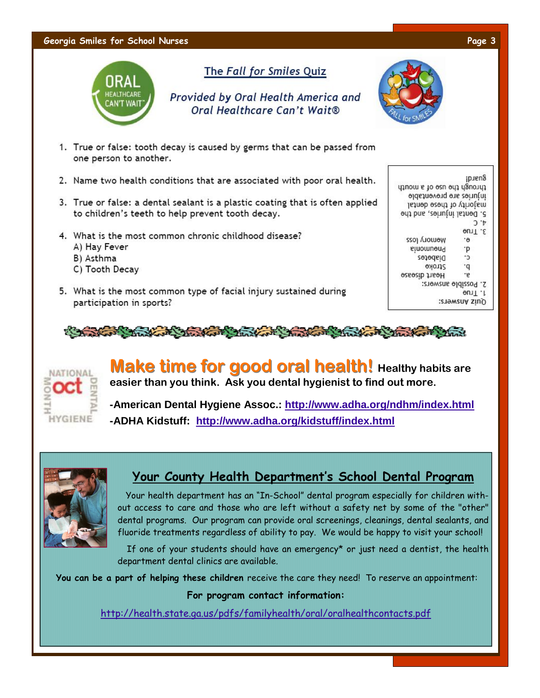#### **Georgia Smiles for School Nurses Page 3**



## The Fall for Smiles Quiz

Provided by Oral Health America and Oral Healthcare Can't Wait®



- 1. True or false: tooth decay is caused by germs that can be passed from one person to another.
- 2. Name two health conditions that are associated with poor oral health.
- 3. True or false: a dental sealant is a plastic coating that is often applied to children's teeth to help prevent tooth decay.
- 4. What is the most common chronic childhood disease?
	- A) Hay Fever
	- B) Asthma
	- C) Tooth Decay
- 5. What is the most common type of facial injury sustained during participation in sports?







**Make time for good oral health!** Healthy habits are **easier than you think. Ask you dental hygienist to find out more.**

**-American Dental Hygiene Assoc.: http://www.adha.org/ndhm/index.html -ADHA Kidstuff: http://www.adha.org/kidstuff/index.html**



# **Your County Health Department's School Dental Program**

 Your health department has an "In-School" dental program especially for children without access to care and those who are left without a safety net by some of the "other" dental programs. Our program can provide oral screenings, cleanings, dental sealants, and fluoride treatments regardless of ability to pay. We would be happy to visit your school!

 If one of your students should have an emergency\* or just need a dentist, the health department dental clinics are available.

**You can be a part of helping these children** receive the care they need! To reserve an appointment:

#### **For program contact information:**

http://health.state.ga.us/pdfs/familyhealth/oral/oralhealthcontacts.pdf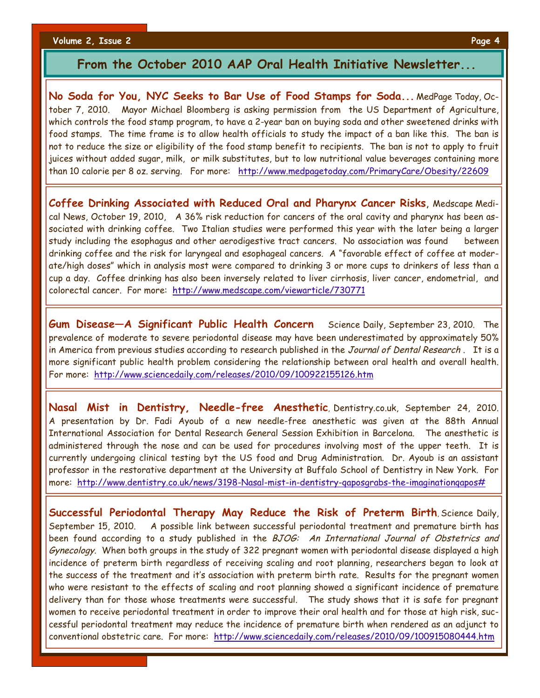**Volume 2, Issue 2 Page 4**

### **From the October 2010 AAP Oral Health Initiative Newsletter...**

**No Soda for You, NYC Seeks to Bar Use of Food Stamps for Soda...** MedPage Today, October 7, 2010. Mayor Michael Bloomberg is asking permission from the US Department of Agriculture, which controls the food stamp program, to have a 2-year ban on buying soda and other sweetened drinks with food stamps. The time frame is to allow health officials to study the impact of a ban like this. The ban is not to reduce the size or eligibility of the food stamp benefit to recipients. The ban is not to apply to fruit juices without added sugar, milk, or milk substitutes, but to low nutritional value beverages containing more than 10 calorie per 8 oz. serving. For more: http://www.medpagetoday.com/PrimaryCare/Obesity/22609

**Coffee Drinking Associated with Reduced Oral and Pharynx Cancer Risks**, Medscape Medical News, October 19, 2010, A 36% risk reduction for cancers of the oral cavity and pharynx has been associated with drinking coffee. Two Italian studies were performed this year with the later being a larger study including the esophagus and other aerodigestive tract cancers. No association was found between drinking coffee and the risk for laryngeal and esophageal cancers. A "favorable effect of coffee at moderate/high doses" which in analysis most were compared to drinking 3 or more cups to drinkers of less than a cup a day. Coffee drinking has also been inversely related to liver cirrhosis, liver cancer, endometrial, and colorectal cancer. For more: http://www.medscape.com/viewarticle/730771

**Gum Disease—A Significant Public Health Concern** Science Daily, September 23, 2010. The prevalence of moderate to severe periodontal disease may have been underestimated by approximately 50% in America from previous studies according to research published in the Journal of Dental Research. It is a more significant public health problem considering the relationship between oral health and overall health. For more: http://www.sciencedaily.com/releases/2010/09/100922155126.htm

**Nasal Mist in Dentistry, Needle-free Anesthetic**, Dentistry.co.uk, September 24, 2010. A presentation by Dr. Fadi Ayoub of a new needle-free anesthetic was given at the 88th Annual International Association for Dental Research General Session Exhibition in Barcelona. The anesthetic is administered through the nose and can be used for procedures involving most of the upper teeth. It is currently undergoing clinical testing byt the US food and Drug Administration. Dr. Ayoub is an assistant professor in the restorative department at the University at Buffalo School of Dentistry in New York. For more: http://www.dentistry.co.uk/news/3198-Nasal-mist-in-dentistry-qaposgrabs-the-imaginationqapos#

**Successful Periodontal Therapy May Reduce the Risk of Preterm Birth**, Science Daily, September 15, 2010. A possible link between successful periodontal treatment and premature birth has been found according to a study published in the BJOG: An International Journal of Obstetrics and Gynecology. When both groups in the study of 322 pregnant women with periodontal disease displayed a high incidence of preterm birth regardless of receiving scaling and root planning, researchers began to look at the success of the treatment and it's association with preterm birth rate. Results for the pregnant women who were resistant to the effects of scaling and root planning showed a significant incidence of premature delivery than for those whose treatments were successful. The study shows that it is safe for pregnant women to receive periodontal treatment in order to improve their oral health and for those at high risk, successful periodontal treatment may reduce the incidence of premature birth when rendered as an adjunct to conventional obstetric care. For more: http://www.sciencedaily.com/releases/2010/09/100915080444.htm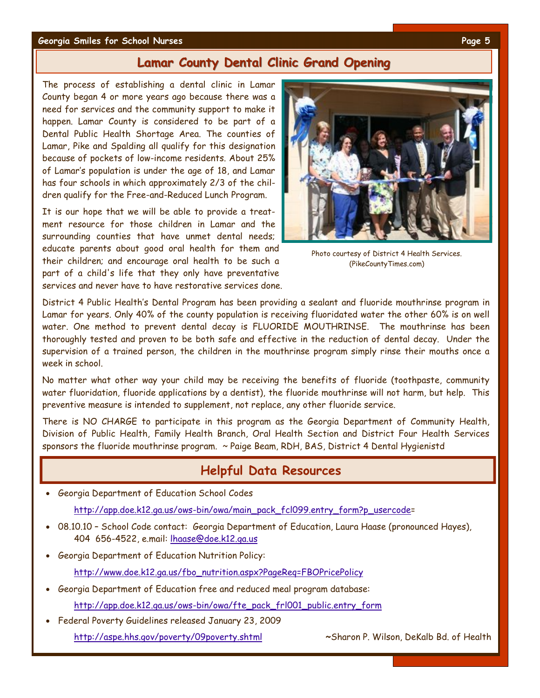#### **Georgia Smiles for School Nurses Page 5**

### **Lamar County Dental Clinic Grand Opening**

The process of establishing a dental clinic in Lamar County began 4 or more years ago because there was a need for services and the community support to make it happen. Lamar County is considered to be part of a Dental Public Health Shortage Area. The counties of Lamar, Pike and Spalding all qualify for this designation because of pockets of low-income residents. About 25% of Lamar's population is under the age of 18, and Lamar has four schools in which approximately 2/3 of the children qualify for the Free-and-Reduced Lunch Program.

It is our hope that we will be able to provide a treatment resource for those children in Lamar and the surrounding counties that have unmet dental needs; educate parents about good oral health for them and their children; and encourage oral health to be such a part of a child's life that they only have preventative services and never have to have restorative services done.



Photo courtesy of District 4 Health Services. (PikeCountyTimes.com)

District 4 Public Health's Dental Program has been providing a sealant and fluoride mouthrinse program in Lamar for years. Only 40% of the county population is receiving fluoridated water the other 60% is on well water. One method to prevent dental decay is FLUORIDE MOUTHRINSE. The mouthrinse has been thoroughly tested and proven to be both safe and effective in the reduction of dental decay. Under the supervision of a trained person, the children in the mouthrinse program simply rinse their mouths once a week in school.

No matter what other way your child may be receiving the benefits of fluoride (toothpaste, community water fluoridation, fluoride applications by a dentist), the fluoride mouthrinse will not harm, but help. This preventive measure is intended to supplement, not replace, any other fluoride service.

There is NO CHARGE to participate in this program as the Georgia Department of Community Health, Division of Public Health, Family Health Branch, Oral Health Section and District Four Health Services sponsors the fluoride mouthrinse program. ~ Paige Beam, RDH, BAS, District 4 Dental Hygienistd

# **Helpful Data Resources**

- · Georgia Department of Education School Codes http://app.doe.k12.ga.us/ows-bin/owa/main\_pack\_fcl099.entry\_form?p\_usercode=
- · 08.10.10 School Code contact: Georgia Department of Education, Laura Haase (pronounced Hayes), 404 656-4522, e.mail: lhaase@doe.k12.ga.us
- · Georgia Department of Education Nutrition Policy:

http://www.doe.k12.ga.us/fbo\_nutrition.aspx?PageReq=FBOPricePolicy

- · Georgia Department of Education free and reduced meal program database: http://app.doe.k12.ga.us/ows-bin/owa/fte\_pack\_frl001\_public.entry\_form
- · Federal Poverty Guidelines released January 23, 2009
	- http://aspe.hhs.gov/poverty/09poverty.shtml **~**Sharon P. Wilson, DeKalb Bd. of Health
-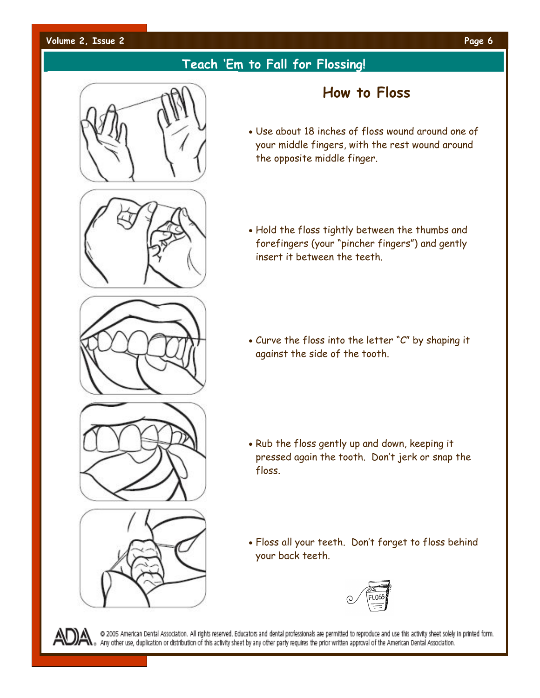#### **Volume 2, Issue 2 Page 6**

# **Teach 'Em to Fall for Flossing!**

# **How to Floss**

- · Use about 18 inches of floss wound around one of your middle fingers, with the rest wound around the opposite middle finger.
- · Hold the floss tightly between the thumbs and forefingers (your "pincher fingers") and gently insert it between the teeth.

· Curve the floss into the letter "C" by shaping it against the side of the tooth.

- · Rub the floss gently up and down, keeping it pressed again the tooth. Don't jerk or snap the floss.
- · Floss all your teeth. Don't forget to floss behind your back teeth.





@ 2005 American Dental Association. All rights reserved. Educators and dental professionals are permitted to reproduce and use this activity sheet solely in printed form. Any other use, duplication or distribution of this activity sheet by any other party requires the prior written approval of the American Dental Association.